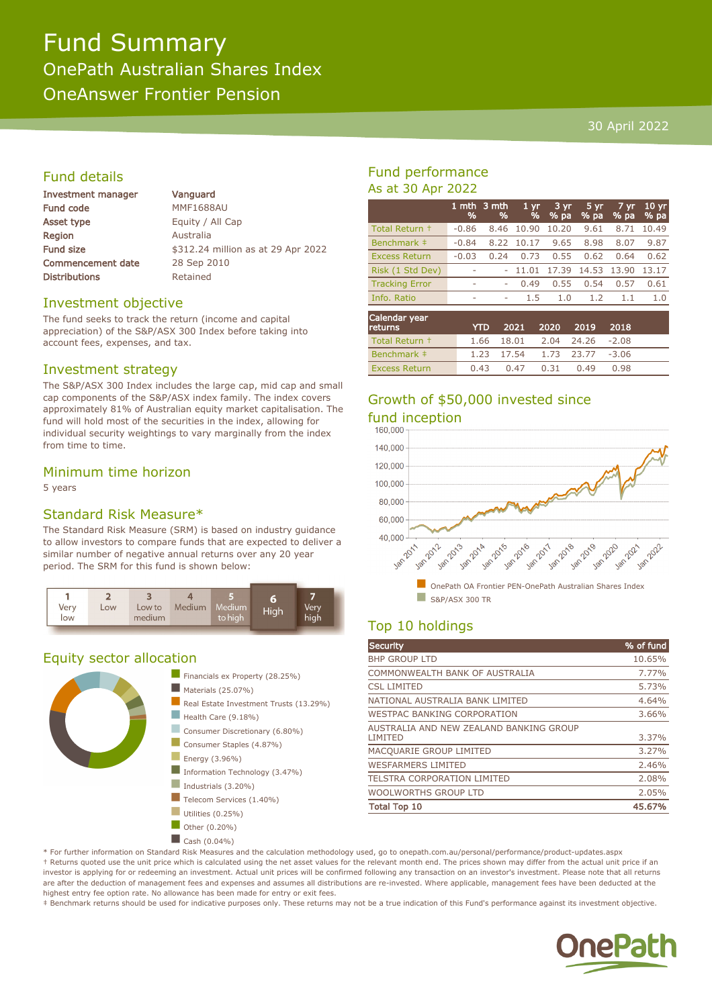# Fund Summary OnePath Australian Shares Index OneAnswer Frontier Pension

## 30 April 2022

# Fund details

| Investment manager       |  |  |  |  |
|--------------------------|--|--|--|--|
| <b>Fund code</b>         |  |  |  |  |
| <b>Asset type</b>        |  |  |  |  |
| Region                   |  |  |  |  |
| <b>Fund size</b>         |  |  |  |  |
| <b>Commencement date</b> |  |  |  |  |
| <b>Distributions</b>     |  |  |  |  |

Vanguard **MMF1688AU** Equity / All Cap **Australia** \$312.24 million as at 29 Apr 2022 28 Sep 2010 Retained

#### Investment objective

The fund seeks to track the return (income and capital appreciation) of the S&P/ASX 300 Index before taking into account fees, expenses, and tax.

## Investment strategy

The S&P/ASX 300 Index includes the large cap, mid cap and small cap components of the S&P/ASX index family. The index covers approximately 81% of Australian equity market capitalisation. The fund will hold most of the securities in the index, allowing for individual security weightings to vary marginally from the index from time to time.

## Minimum time horizon

5 years

# Standard Risk Measure\*

The Standard Risk Measure (SRM) is based on industry guidance to allow investors to compare funds that are expected to deliver a similar number of negative annual returns over any 20 year period. The SRM for this fund is shown below:



# Equity sector allocation



# Fund performance As at 30 Apr 2022

|                                 | 1 mth<br>% | 3 mth<br>% | $1 \, \text{yr}$<br>% | $3 \, yr$<br>% pa | 5 yr<br>% pa | 7 yr<br>% pa | 10 <sub>yr</sub><br>% pa |
|---------------------------------|------------|------------|-----------------------|-------------------|--------------|--------------|--------------------------|
| Total Return +                  | $-0.86$    | 8.46       | 10.90                 | 10.20             | 9.61         | 8.71         | 10.49                    |
| Benchmark ‡                     | $-0.84$    | 8.22       | 10.17                 | 9.65              | 8.98         | 8.07         | 9.87                     |
| <b>Excess Return</b>            | $-0.03$    | 0.24       | 0.73                  | 0.55              | 0.62         | 0.64         | 0.62                     |
| Risk (1 Std Dev)                |            |            | 11.01                 | 17.39             | 14.53        | 13.90        | 13.17                    |
| <b>Tracking Error</b>           | ۰          | ۰          | 0.49                  | 0.55              | 0.54         | 0.57         | 0.61                     |
| Info. Ratio                     | -          | ۰          | 1.5                   | 1.0               | 1.2          | 1.1          | 1.0                      |
| <b>Calendar year</b><br>returns |            | YTD        | 2021                  | 2020              | 2019         | 2018         |                          |
| Total Return +                  |            | 1.66       | 18.01                 | 2.04              | 24.26        | $-2.08$      |                          |

# Growth of \$50,000 invested since fund inception

Benchmark ‡ 1.23 17.54 1.73 23.77 -3.06 Excess Return 0.43 0.47 0.31 0.49 0.98



# Top 10 holdings

| Security                                           | % of fund |
|----------------------------------------------------|-----------|
| <b>BHP GROUP LTD</b>                               | 10.65%    |
| COMMONWEALTH BANK OF AUSTRALIA                     | 7.77%     |
| <b>CSL LIMITED</b>                                 | 5.73%     |
| NATIONAL AUSTRALIA BANK LIMITED                    | 4.64%     |
| WESTPAC BANKING CORPORATION                        | 3.66%     |
| AUSTRALIA AND NEW ZEALAND BANKING GROUP<br>LIMITED | 3.37%     |
| MACQUARIE GROUP LIMITED                            | 3.27%     |
| <b>WESFARMERS LIMITED</b>                          | 2.46%     |
| <b>TELSTRA CORPORATION LIMITED</b>                 | 2.08%     |
| WOOLWORTHS GROUP LTD                               | 2.05%     |
| <b>Total Top 10</b>                                | 45.67%    |

\* For further information on Standard Risk Measures and the calculation methodology used, go to onepath.com.au/personal/performance/product-updates.aspx † Returns quoted use the unit price which is calculated using the net asset values for the relevant month end. The prices shown may differ from the actual unit price if an investor is applying for or redeeming an investment. Actual unit prices will be confirmed following any transaction on an investor's investment. Please note that all returns are after the deduction of management fees and expenses and assumes all distributions are re-invested. Where applicable, management fees have been deducted at the highest entry fee option rate. No allowance has been made for entry or exit fees.

‡ Benchmark returns should be used for indicative purposes only. These returns may not be a true indication of this Fund's performance against its investment objective.